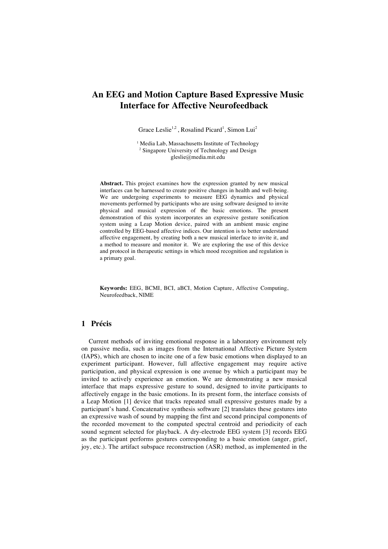## **An EEG and Motion Capture Based Expressive Music Interface for Affective Neurofeedback**

Grace Leslie<sup>1,2</sup>, Rosalind Picard<sup>1</sup>, Simon Lui<sup>2</sup>

<sup>1</sup> Media Lab, Massachusetts Institute of Technology <sup>2</sup> Singapore University of Technology and Design gleslie@media.mit.edu

**Abstract.** This project examines how the expression granted by new musical interfaces can be harnessed to create positive changes in health and well-being. We are undergoing experiments to measure EEG dynamics and physical movements performed by participants who are using software designed to invite physical and musical expression of the basic emotions. The present demonstration of this system incorporates an expressive gesture sonification system using a Leap Motion device, paired with an ambient music engine controlled by EEG-based affective indices. Our intention is to better understand affective engagement, by creating both a new musical interface to invite it, and a method to measure and monitor it. We are exploring the use of this device and protocol in therapeutic settings in which mood recognition and regulation is a primary goal.

**Keywords:** EEG, BCMI, BCI, aBCI, Motion Capture, Affective Computing, Neurofeedback, NIME

## **1 Précis**

Current methods of inviting emotional response in a laboratory environment rely on passive media, such as images from the International Affective Picture System (IAPS), which are chosen to incite one of a few basic emotions when displayed to an experiment participant. However, full affective engagement may require active participation, and physical expression is one avenue by which a participant may be invited to actively experience an emotion. We are demonstrating a new musical interface that maps expressive gesture to sound, designed to invite participants to affectively engage in the basic emotions. In its present form, the interface consists of a Leap Motion [1] device that tracks repeated small expressive gestures made by a participant's hand. Concatenative synthesis software [2] translates these gestures into an expressive wash of sound by mapping the first and second principal components of the recorded movement to the computed spectral centroid and periodicity of each sound segment selected for playback. A dry-electrode EEG system [3] records EEG as the participant performs gestures corresponding to a basic emotion (anger, grief, joy, etc.). The artifact subspace reconstruction (ASR) method, as implemented in the